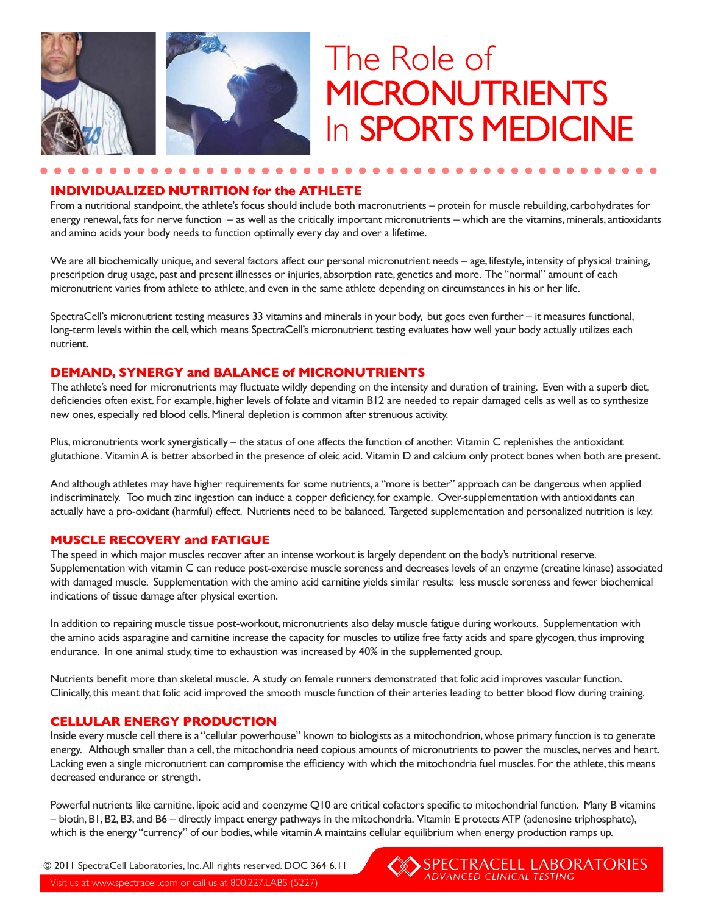

# The Role of **MICRONUTRIENTS** In **SPORTS MEDICINE**

#### **INDIVIDUALIZED NUTRITION for the ATHLETE**

From a nutritional standpoint, the athlete's focus should include both macronutrients – protein for muscle rebuilding, carbohydrates for energy renewal, fats for nerve function – as well as the critically important micronutrients – which are the vitamins, minerals, antioxidants and amino acids your body needs to function optimally every day and over a lifetime.

We are all biochemically unique, and several factors affect our personal micronutrient needs – age, lifestyle, intensity of physical training, prescription drug usage, past and present illnesses or injuries, absorption rate, genetics and more. The "normal" amount of each micronutrient varies from athlete to athlete, and even in the same athlete depending on circumstances in his or her life.

SpectraCell's micronutrient testing measures 33 vitamins and minerals in your body, but goes even further – it measures functional, long-term levels within the cell, which means SpectraCell's micronutrient testing evaluates how well your body actually utilizes each nutrient.

### **DEMAND, SYNERGY and BALANCE of MICRONUTRIENTS**

The athlete's need for micronutrients may fluctuate wildly depending on the intensity and duration of training. Even with a superb diet, deficiencies often exist. For example, higher levels of folate and vitamin B12 are needed to repair damaged cells as well as to synthesize new ones, especially red blood cells. Mineral depletion is common after strenuous activity.

Plus, micronutrients work synergistically – the status of one affects the function of another. Vitamin C replenishes the antioxidant glutathione. Vitamin A is better absorbed in the presence of oleic acid. Vitamin D and calcium only protect bones when both are present.

And although athletes may have higher requirements for some nutrients, a "more is better" approach can be dangerous when applied indiscriminately. Too much zinc ingestion can induce a copper deficiency, for example. Over-supplementation with antioxidants can actually have a pro-oxidant (harmful) effect. Nutrients need to be balanced. Targeted supplementation and personalized nutrition is key.

## **MUSCLE RECOVERY and FATIGUE**

The speed in which major muscles recover after an intense workout is largely dependent on the body's nutritional reserve. Supplementation with vitamin C can reduce post-exercise muscle soreness and decreases levels of an enzyme (creatine kinase) associated with damaged muscle. Supplementation with the amino acid carnitine yields similar results: less muscle soreness and fewer biochemical indications of tissue damage after physical exertion.

In addition to repairing muscle tissue post-workout, micronutrients also delay muscle fatigue during workouts. Supplementation with the amino acids asparagine and carnitine increase the capacity for muscles to utilize free fatty acids and spare glycogen, thus improving endurance. In one animal study, time to exhaustion was increased by 40% in the supplemented group.

Nutrients benefit more than skeletal muscle. A study on female runners demonstrated that folic acid improves vascular function. Clinically, this meant that folic acid improved the smooth muscle function of their arteries leading to better blood flow during training.

#### **CELLULAR ENERGY PRODUCTION**

Inside every muscle cell there is a "cellular powerhouse" known to biologists as a mitochondrion, whose primary function is to generate energy. Although smaller than a cell, the mitochondria need copious amounts of micronutrients to power the muscles, nerves and heart. Lacking even a single micronutrient can compromise the efficiency with which the mitochondria fuel muscles. For the athlete, this means decreased endurance or strength.

Powerful nutrients like carnitine, lipoic acid and coenzyme Q10 are critical cofactors specific to mitochondrial function. Many B vitamins – biotin, B1, B2, B3, and B6 – directly impact energy pathways in the mitochondria. Vitamin E protects ATP (adenosine triphosphate), which is the energy "currency" of our bodies, while vitamin A maintains cellular equilibrium when energy production ramps up.

© 2011 SpectraCell Laboratories, Inc. All rights reserved. DOC 364 6.11

Visit us at www.spectracell.com or call us at 800.227.LABS (5227)